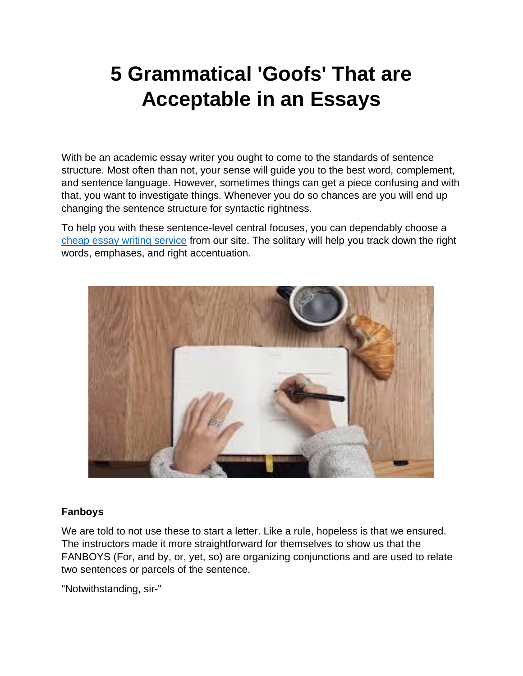# **5 Grammatical 'Goofs' That are Acceptable in an Essays**

With be an academic essay writer you ought to come to the standards of sentence structure. Most often than not, your sense will guide you to the best word, complement, and sentence language. However, sometimes things can get a piece confusing and with that, you want to investigate things. Whenever you do so chances are you will end up changing the sentence structure for syntactic rightness.

To help you with these sentence-level central focuses, you can dependably choose a [cheap essay writing service](https://theessaywritingservice.com/) from our site. The solitary will help you track down the right words, emphases, and right accentuation.



## **Fanboys**

We are told to not use these to start a letter. Like a rule, hopeless is that we ensured. The instructors made it more straightforward for themselves to show us that the FANBOYS (For, and by, or, yet, so) are organizing conjunctions and are used to relate two sentences or parcels of the sentence.

"Notwithstanding, sir-"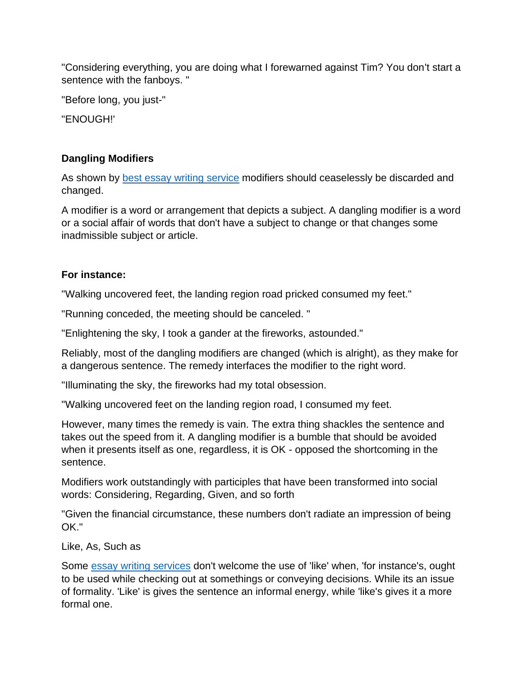"Considering everything, you are doing what I forewarned against Tim? You don't start a sentence with the fanboys. "

"Before long, you just-"

"ENOUGH!'

## **Dangling Modifiers**

As shown by [best essay writing service](https://theessaywritingservice.com/) modifiers should ceaselessly be discarded and changed.

A modifier is a word or arrangement that depicts a subject. A dangling modifier is a word or a social affair of words that don't have a subject to change or that changes some inadmissible subject or article.

## **For instance:**

"Walking uncovered feet, the landing region road pricked consumed my feet."

"Running conceded, the meeting should be canceled. "

"Enlightening the sky, I took a gander at the fireworks, astounded."

Reliably, most of the dangling modifiers are changed (which is alright), as they make for a dangerous sentence. The remedy interfaces the modifier to the right word.

"Illuminating the sky, the fireworks had my total obsession.

"Walking uncovered feet on the landing region road, I consumed my feet.

However, many times the remedy is vain. The extra thing shackles the sentence and takes out the speed from it. A dangling modifier is a bumble that should be avoided when it presents itself as one, regardless, it is OK - opposed the shortcoming in the sentence.

Modifiers work outstandingly with participles that have been transformed into social words: Considering, Regarding, Given, and so forth

"Given the financial circumstance, these numbers don't radiate an impression of being OK."

Like, As, Such as

Some [essay writing](https://theessaywritingservice.com/) services don't welcome the use of 'like' when, 'for instance's, ought to be used while checking out at somethings or conveying decisions. While its an issue of formality. 'Like' is gives the sentence an informal energy, while 'like's gives it a more formal one.